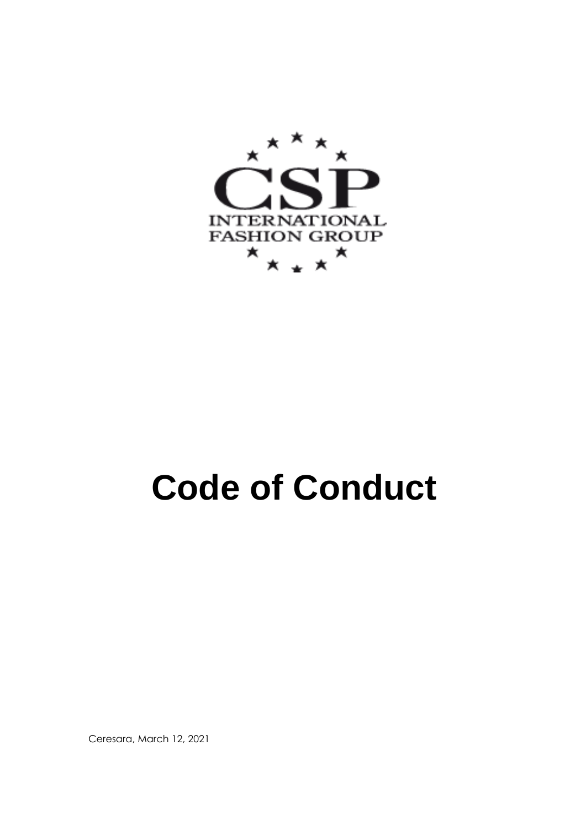

# **Code of Conduct**

Ceresara, March 12, 2021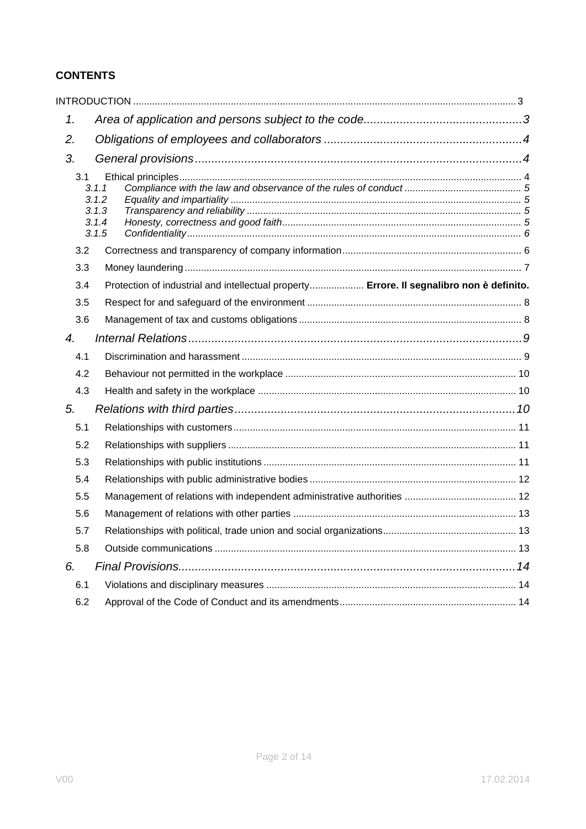# **CONTENTS**

| 1.               |                                           |                                                                                          |
|------------------|-------------------------------------------|------------------------------------------------------------------------------------------|
| 2.               |                                           |                                                                                          |
| 3.               |                                           |                                                                                          |
| 3.1              | 3.1.1<br>3.1.2<br>3.1.3<br>3.1.4<br>3.1.5 |                                                                                          |
| 3.2              |                                           |                                                                                          |
| 3.3              |                                           |                                                                                          |
| 3.4              |                                           | Protection of industrial and intellectual property Errore. Il segnalibro non è definito. |
| 3.5              |                                           |                                                                                          |
| 3.6              |                                           |                                                                                          |
| $\overline{4}$ . |                                           |                                                                                          |
| 4.1              |                                           |                                                                                          |
| 4.2              |                                           |                                                                                          |
| 4.3              |                                           |                                                                                          |
| 5.               |                                           |                                                                                          |
| 5.1              |                                           |                                                                                          |
| 5.2              |                                           |                                                                                          |
| 5.3              |                                           |                                                                                          |
| 5.4              |                                           |                                                                                          |
| 5.5              |                                           |                                                                                          |
| 5.6              |                                           |                                                                                          |
| 5.7              |                                           |                                                                                          |
| 5.8              |                                           |                                                                                          |
| 6.               |                                           |                                                                                          |
| 6.1              |                                           |                                                                                          |
| 6.2              |                                           |                                                                                          |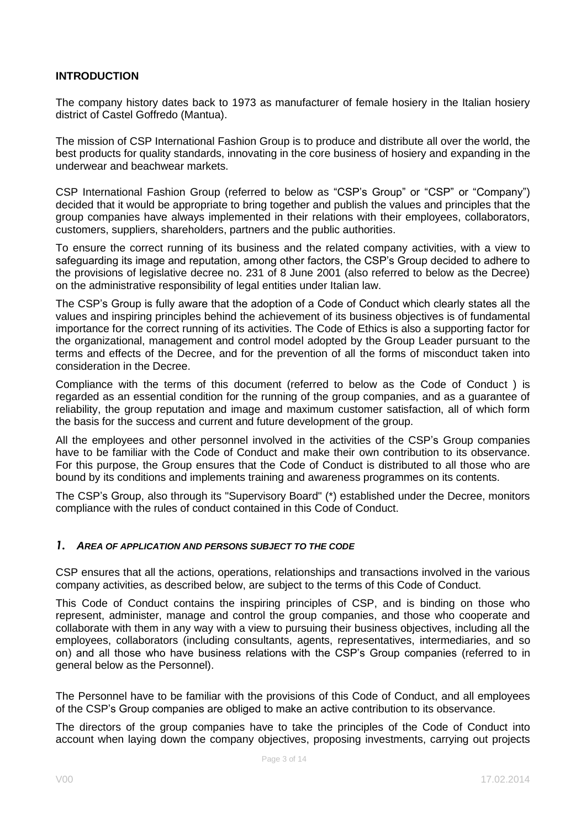#### <span id="page-2-0"></span>**INTRODUCTION**

The company history dates back to 1973 as manufacturer of female hosiery in the Italian hosiery district of Castel Goffredo (Mantua).

The mission of CSP International Fashion Group is to produce and distribute all over the world, the best products for quality standards, innovating in the core business of hosiery and expanding in the underwear and beachwear markets.

CSP International Fashion Group (referred to below as "CSP's Group" or "CSP" or "Company") decided that it would be appropriate to bring together and publish the values and principles that the group companies have always implemented in their relations with their employees, collaborators, customers, suppliers, shareholders, partners and the public authorities.

To ensure the correct running of its business and the related company activities, with a view to safeguarding its image and reputation, among other factors, the CSP's Group decided to adhere to the provisions of legislative decree no. 231 of 8 June 2001 (also referred to below as the Decree) on the administrative responsibility of legal entities under Italian law.

The CSP's Group is fully aware that the adoption of a Code of Conduct which clearly states all the values and inspiring principles behind the achievement of its business objectives is of fundamental importance for the correct running of its activities. The Code of Ethics is also a supporting factor for the organizational, management and control model adopted by the Group Leader pursuant to the terms and effects of the Decree, and for the prevention of all the forms of misconduct taken into consideration in the Decree.

Compliance with the terms of this document (referred to below as the Code of Conduct ) is regarded as an essential condition for the running of the group companies, and as a guarantee of reliability, the group reputation and image and maximum customer satisfaction, all of which form the basis for the success and current and future development of the group.

All the employees and other personnel involved in the activities of the CSP's Group companies have to be familiar with the Code of Conduct and make their own contribution to its observance. For this purpose, the Group ensures that the Code of Conduct is distributed to all those who are bound by its conditions and implements training and awareness programmes on its contents.

The CSP's Group, also through its "Supervisory Board" (\*) established under the Decree, monitors compliance with the rules of conduct contained in this Code of Conduct.

#### <span id="page-2-1"></span>*1. AREA OF APPLICATION AND PERSONS SUBJECT TO THE CODE*

CSP ensures that all the actions, operations, relationships and transactions involved in the various company activities, as described below, are subject to the terms of this Code of Conduct.

This Code of Conduct contains the inspiring principles of CSP, and is binding on those who represent, administer, manage and control the group companies, and those who cooperate and collaborate with them in any way with a view to pursuing their business objectives, including all the employees, collaborators (including consultants, agents, representatives, intermediaries, and so on) and all those who have business relations with the CSP's Group companies (referred to in general below as the Personnel).

The Personnel have to be familiar with the provisions of this Code of Conduct, and all employees of the CSP's Group companies are obliged to make an active contribution to its observance.

The directors of the group companies have to take the principles of the Code of Conduct into account when laying down the company objectives, proposing investments, carrying out projects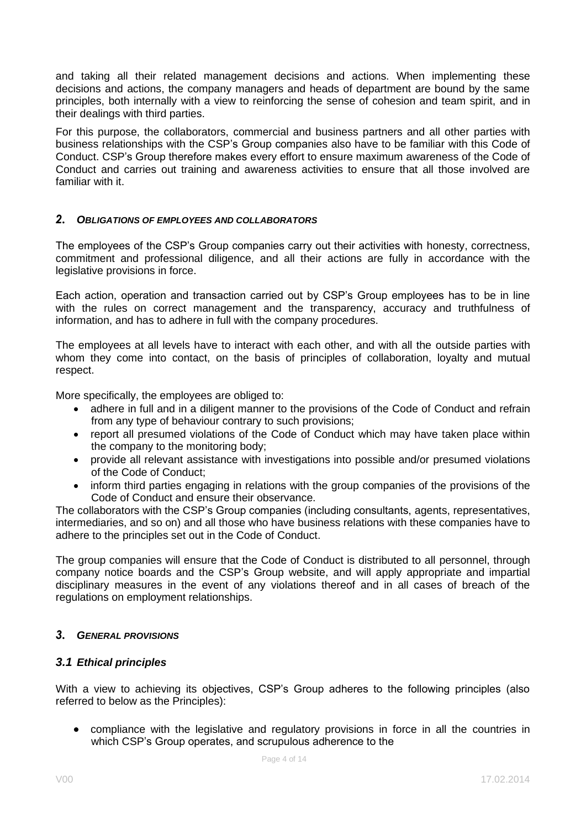and taking all their related management decisions and actions. When implementing these decisions and actions, the company managers and heads of department are bound by the same principles, both internally with a view to reinforcing the sense of cohesion and team spirit, and in their dealings with third parties.

For this purpose, the collaborators, commercial and business partners and all other parties with business relationships with the CSP's Group companies also have to be familiar with this Code of Conduct. CSP's Group therefore makes every effort to ensure maximum awareness of the Code of Conduct and carries out training and awareness activities to ensure that all those involved are familiar with it.

#### <span id="page-3-0"></span>*2. OBLIGATIONS OF EMPLOYEES AND COLLABORATORS*

The employees of the CSP's Group companies carry out their activities with honesty, correctness, commitment and professional diligence, and all their actions are fully in accordance with the legislative provisions in force.

Each action, operation and transaction carried out by CSP's Group employees has to be in line with the rules on correct management and the transparency, accuracy and truthfulness of information, and has to adhere in full with the company procedures.

The employees at all levels have to interact with each other, and with all the outside parties with whom they come into contact, on the basis of principles of collaboration, loyalty and mutual respect.

More specifically, the employees are obliged to:

- adhere in full and in a diligent manner to the provisions of the Code of Conduct and refrain from any type of behaviour contrary to such provisions;
- report all presumed violations of the Code of Conduct which may have taken place within the company to the monitoring body;
- provide all relevant assistance with investigations into possible and/or presumed violations of the Code of Conduct;
- inform third parties engaging in relations with the group companies of the provisions of the Code of Conduct and ensure their observance.

The collaborators with the CSP's Group companies (including consultants, agents, representatives, intermediaries, and so on) and all those who have business relations with these companies have to adhere to the principles set out in the Code of Conduct.

The group companies will ensure that the Code of Conduct is distributed to all personnel, through company notice boards and the CSP's Group website, and will apply appropriate and impartial disciplinary measures in the event of any violations thereof and in all cases of breach of the regulations on employment relationships.

#### <span id="page-3-1"></span>*3. GENERAL PROVISIONS*

#### <span id="page-3-2"></span>*3.1 Ethical principles*

With a view to achieving its objectives, CSP's Group adheres to the following principles (also referred to below as the Principles):

• compliance with the legislative and regulatory provisions in force in all the countries in which CSP's Group operates, and scrupulous adherence to the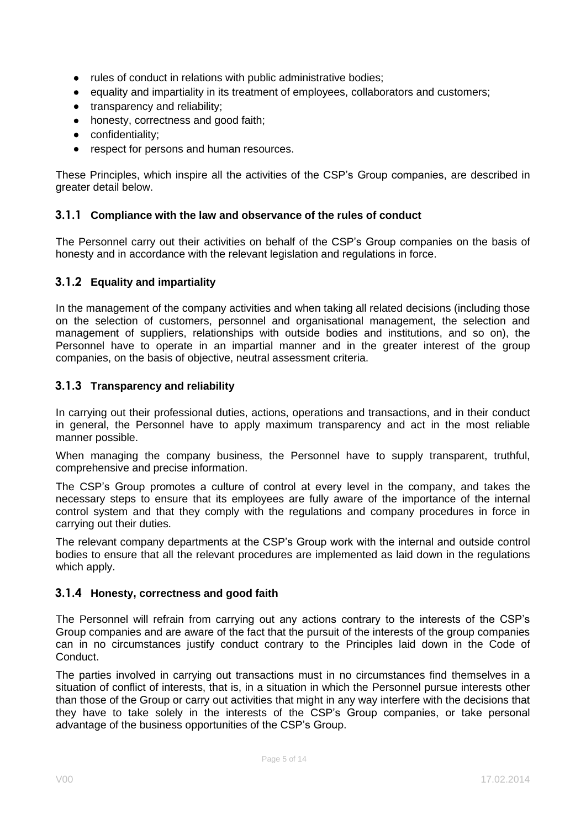- rules of conduct in relations with public administrative bodies;
- equality and impartiality in its treatment of employees, collaborators and customers;
- transparency and reliability;
- honesty, correctness and good faith;
- confidentiality;
- respect for persons and human resources.

These Principles, which inspire all the activities of the CSP's Group companies, are described in greater detail below.

#### <span id="page-4-0"></span>**3.1.1 Compliance with the law and observance of the rules of conduct**

The Personnel carry out their activities on behalf of the CSP's Group companies on the basis of honesty and in accordance with the relevant legislation and regulations in force.

#### <span id="page-4-1"></span>**3.1.2 Equality and impartiality**

In the management of the company activities and when taking all related decisions (including those on the selection of customers, personnel and organisational management, the selection and management of suppliers, relationships with outside bodies and institutions, and so on), the Personnel have to operate in an impartial manner and in the greater interest of the group companies, on the basis of objective, neutral assessment criteria.

#### <span id="page-4-2"></span>**3.1.3 Transparency and reliability**

In carrying out their professional duties, actions, operations and transactions, and in their conduct in general, the Personnel have to apply maximum transparency and act in the most reliable manner possible.

When managing the company business, the Personnel have to supply transparent, truthful, comprehensive and precise information.

The CSP's Group promotes a culture of control at every level in the company, and takes the necessary steps to ensure that its employees are fully aware of the importance of the internal control system and that they comply with the regulations and company procedures in force in carrying out their duties.

The relevant company departments at the CSP's Group work with the internal and outside control bodies to ensure that all the relevant procedures are implemented as laid down in the regulations which apply.

#### <span id="page-4-3"></span>**3.1.4 Honesty, correctness and good faith**

The Personnel will refrain from carrying out any actions contrary to the interests of the CSP's Group companies and are aware of the fact that the pursuit of the interests of the group companies can in no circumstances justify conduct contrary to the Principles laid down in the Code of Conduct.

The parties involved in carrying out transactions must in no circumstances find themselves in a situation of conflict of interests, that is, in a situation in which the Personnel pursue interests other than those of the Group or carry out activities that might in any way interfere with the decisions that they have to take solely in the interests of the CSP's Group companies, or take personal advantage of the business opportunities of the CSP's Group.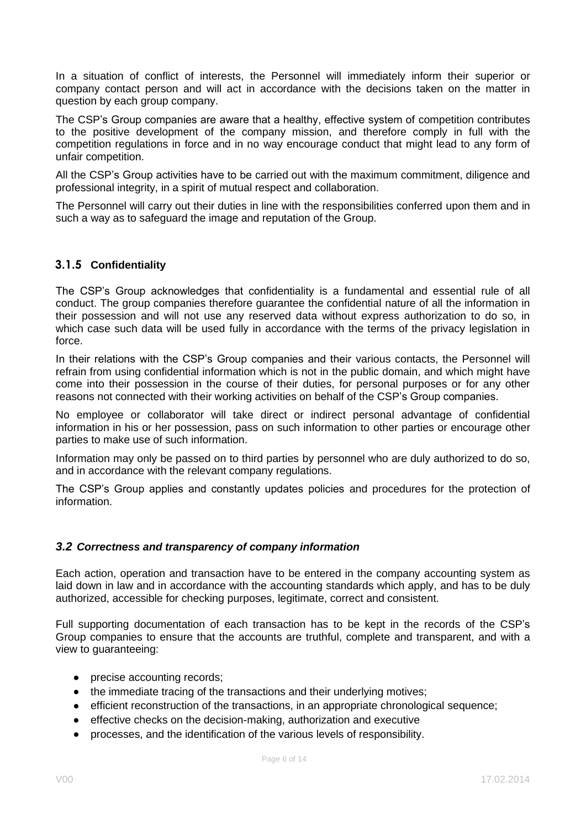In a situation of conflict of interests, the Personnel will immediately inform their superior or company contact person and will act in accordance with the decisions taken on the matter in question by each group company.

The CSP's Group companies are aware that a healthy, effective system of competition contributes to the positive development of the company mission, and therefore comply in full with the competition regulations in force and in no way encourage conduct that might lead to any form of unfair competition.

All the CSP's Group activities have to be carried out with the maximum commitment, diligence and professional integrity, in a spirit of mutual respect and collaboration.

The Personnel will carry out their duties in line with the responsibilities conferred upon them and in such a way as to safeguard the image and reputation of the Group.

# <span id="page-5-0"></span>**3.1.5 Confidentiality**

The CSP's Group acknowledges that confidentiality is a fundamental and essential rule of all conduct. The group companies therefore guarantee the confidential nature of all the information in their possession and will not use any reserved data without express authorization to do so, in which case such data will be used fully in accordance with the terms of the privacy legislation in force.

In their relations with the CSP's Group companies and their various contacts, the Personnel will refrain from using confidential information which is not in the public domain, and which might have come into their possession in the course of their duties, for personal purposes or for any other reasons not connected with their working activities on behalf of the CSP's Group companies.

No employee or collaborator will take direct or indirect personal advantage of confidential information in his or her possession, pass on such information to other parties or encourage other parties to make use of such information.

Information may only be passed on to third parties by personnel who are duly authorized to do so, and in accordance with the relevant company regulations.

The CSP's Group applies and constantly updates policies and procedures for the protection of information.

#### <span id="page-5-1"></span>*3.2 Correctness and transparency of company information*

Each action, operation and transaction have to be entered in the company accounting system as laid down in law and in accordance with the accounting standards which apply, and has to be duly authorized, accessible for checking purposes, legitimate, correct and consistent.

Full supporting documentation of each transaction has to be kept in the records of the CSP's Group companies to ensure that the accounts are truthful, complete and transparent, and with a view to guaranteeing:

- precise accounting records;
- the immediate tracing of the transactions and their underlying motives;
- efficient reconstruction of the transactions, in an appropriate chronological sequence;
- effective checks on the decision-making, authorization and executive
- processes, and the identification of the various levels of responsibility.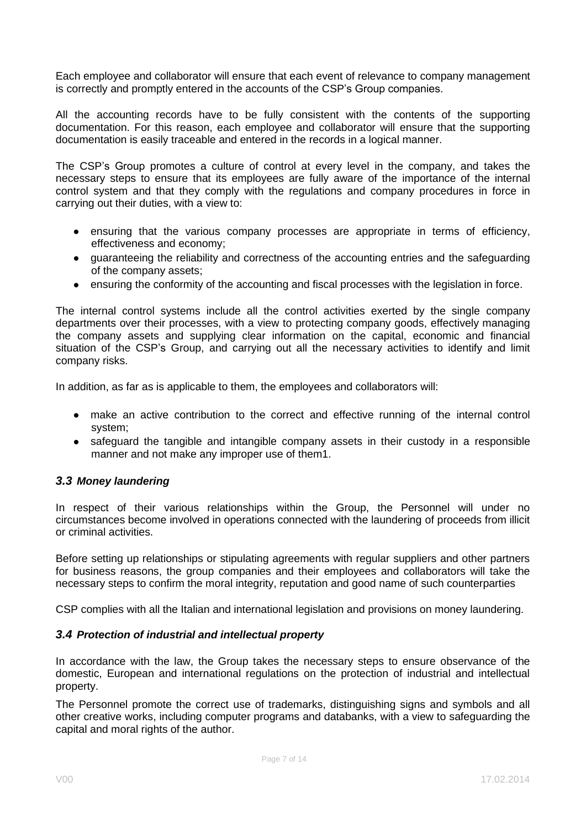Each employee and collaborator will ensure that each event of relevance to company management is correctly and promptly entered in the accounts of the CSP's Group companies.

All the accounting records have to be fully consistent with the contents of the supporting documentation. For this reason, each employee and collaborator will ensure that the supporting documentation is easily traceable and entered in the records in a logical manner.

The CSP's Group promotes a culture of control at every level in the company, and takes the necessary steps to ensure that its employees are fully aware of the importance of the internal control system and that they comply with the regulations and company procedures in force in carrying out their duties, with a view to:

- ensuring that the various company processes are appropriate in terms of efficiency, effectiveness and economy;
- guaranteeing the reliability and correctness of the accounting entries and the safeguarding of the company assets;
- ensuring the conformity of the accounting and fiscal processes with the legislation in force.

The internal control systems include all the control activities exerted by the single company departments over their processes, with a view to protecting company goods, effectively managing the company assets and supplying clear information on the capital, economic and financial situation of the CSP's Group, and carrying out all the necessary activities to identify and limit company risks.

In addition, as far as is applicable to them, the employees and collaborators will:

- make an active contribution to the correct and effective running of the internal control system;
- safeguard the tangible and intangible company assets in their custody in a responsible manner and not make any improper use of them1.

#### <span id="page-6-0"></span>*3.3 Money laundering*

In respect of their various relationships within the Group, the Personnel will under no circumstances become involved in operations connected with the laundering of proceeds from illicit or criminal activities.

Before setting up relationships or stipulating agreements with regular suppliers and other partners for business reasons, the group companies and their employees and collaborators will take the necessary steps to confirm the moral integrity, reputation and good name of such counterparties

CSP complies with all the Italian and international legislation and provisions on money laundering.

#### *3.4 Protection of industrial and intellectual property*

In accordance with the law, the Group takes the necessary steps to ensure observance of the domestic, European and international regulations on the protection of industrial and intellectual property.

The Personnel promote the correct use of trademarks, distinguishing signs and symbols and all other creative works, including computer programs and databanks, with a view to safeguarding the capital and moral rights of the author.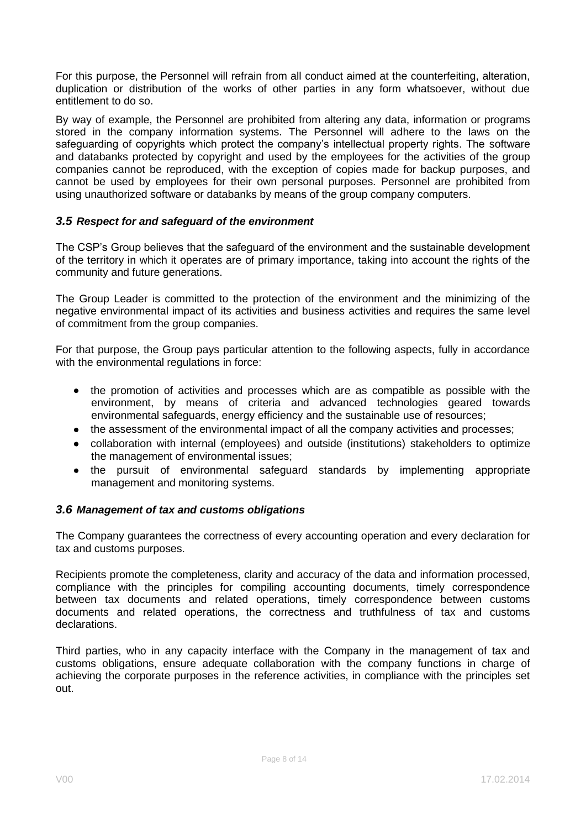For this purpose, the Personnel will refrain from all conduct aimed at the counterfeiting, alteration, duplication or distribution of the works of other parties in any form whatsoever, without due entitlement to do so.

By way of example, the Personnel are prohibited from altering any data, information or programs stored in the company information systems. The Personnel will adhere to the laws on the safeguarding of copyrights which protect the company's intellectual property rights. The software and databanks protected by copyright and used by the employees for the activities of the group companies cannot be reproduced, with the exception of copies made for backup purposes, and cannot be used by employees for their own personal purposes. Personnel are prohibited from using unauthorized software or databanks by means of the group company computers.

# <span id="page-7-0"></span>*3.5 Respect for and safeguard of the environment*

The CSP's Group believes that the safeguard of the environment and the sustainable development of the territory in which it operates are of primary importance, taking into account the rights of the community and future generations.

The Group Leader is committed to the protection of the environment and the minimizing of the negative environmental impact of its activities and business activities and requires the same level of commitment from the group companies.

For that purpose, the Group pays particular attention to the following aspects, fully in accordance with the environmental regulations in force:

- the promotion of activities and processes which are as compatible as possible with the environment, by means of criteria and advanced technologies geared towards environmental safeguards, energy efficiency and the sustainable use of resources;
- the assessment of the environmental impact of all the company activities and processes;
- collaboration with internal (employees) and outside (institutions) stakeholders to optimize the management of environmental issues;
- the pursuit of environmental safeguard standards by implementing appropriate management and monitoring systems.

#### *3.6 Management of tax and customs obligations*

The Company guarantees the correctness of every accounting operation and every declaration for tax and customs purposes.

Recipients promote the completeness, clarity and accuracy of the data and information processed, compliance with the principles for compiling accounting documents, timely correspondence between tax documents and related operations, timely correspondence between customs documents and related operations, the correctness and truthfulness of tax and customs declarations.

Third parties, who in any capacity interface with the Company in the management of tax and customs obligations, ensure adequate collaboration with the company functions in charge of achieving the corporate purposes in the reference activities, in compliance with the principles set out.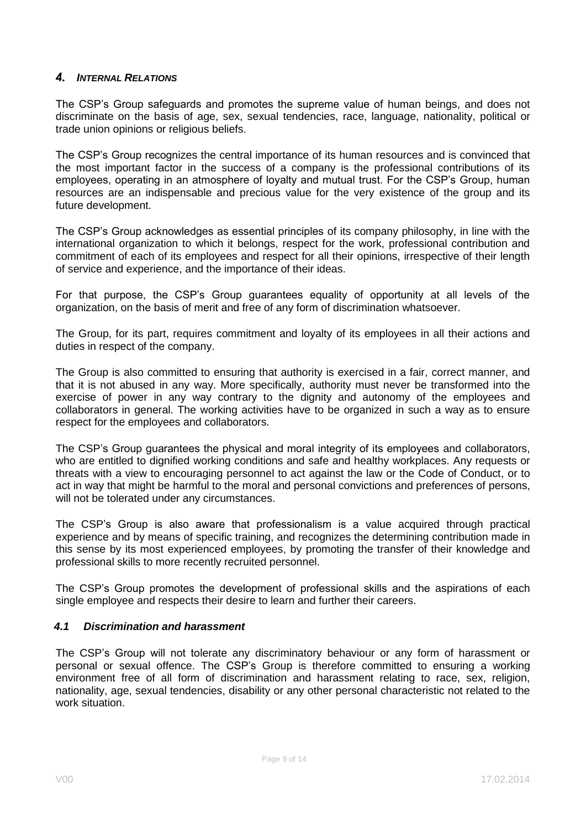#### <span id="page-8-0"></span>*4. INTERNAL RELATIONS*

The CSP's Group safeguards and promotes the supreme value of human beings, and does not discriminate on the basis of age, sex, sexual tendencies, race, language, nationality, political or trade union opinions or religious beliefs.

The CSP's Group recognizes the central importance of its human resources and is convinced that the most important factor in the success of a company is the professional contributions of its employees, operating in an atmosphere of loyalty and mutual trust. For the CSP's Group, human resources are an indispensable and precious value for the very existence of the group and its future development.

The CSP's Group acknowledges as essential principles of its company philosophy, in line with the international organization to which it belongs, respect for the work, professional contribution and commitment of each of its employees and respect for all their opinions, irrespective of their length of service and experience, and the importance of their ideas.

For that purpose, the CSP's Group guarantees equality of opportunity at all levels of the organization, on the basis of merit and free of any form of discrimination whatsoever.

The Group, for its part, requires commitment and loyalty of its employees in all their actions and duties in respect of the company.

The Group is also committed to ensuring that authority is exercised in a fair, correct manner, and that it is not abused in any way. More specifically, authority must never be transformed into the exercise of power in any way contrary to the dignity and autonomy of the employees and collaborators in general. The working activities have to be organized in such a way as to ensure respect for the employees and collaborators.

The CSP's Group guarantees the physical and moral integrity of its employees and collaborators, who are entitled to dignified working conditions and safe and healthy workplaces. Any requests or threats with a view to encouraging personnel to act against the law or the Code of Conduct, or to act in way that might be harmful to the moral and personal convictions and preferences of persons, will not be tolerated under any circumstances.

The CSP's Group is also aware that professionalism is a value acquired through practical experience and by means of specific training, and recognizes the determining contribution made in this sense by its most experienced employees, by promoting the transfer of their knowledge and professional skills to more recently recruited personnel.

The CSP's Group promotes the development of professional skills and the aspirations of each single employee and respects their desire to learn and further their careers.

#### <span id="page-8-1"></span>*4.1 Discrimination and harassment*

The CSP's Group will not tolerate any discriminatory behaviour or any form of harassment or personal or sexual offence. The CSP's Group is therefore committed to ensuring a working environment free of all form of discrimination and harassment relating to race, sex, religion, nationality, age, sexual tendencies, disability or any other personal characteristic not related to the work situation.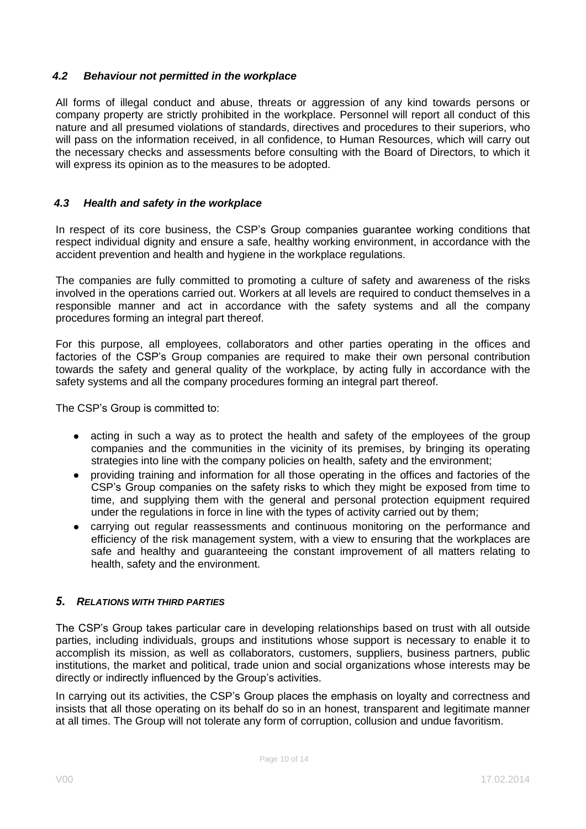#### <span id="page-9-0"></span>*4.2 Behaviour not permitted in the workplace*

All forms of illegal conduct and abuse, threats or aggression of any kind towards persons or company property are strictly prohibited in the workplace. Personnel will report all conduct of this nature and all presumed violations of standards, directives and procedures to their superiors, who will pass on the information received, in all confidence, to Human Resources, which will carry out the necessary checks and assessments before consulting with the Board of Directors, to which it will express its opinion as to the measures to be adopted.

#### <span id="page-9-1"></span>*4.3 Health and safety in the workplace*

In respect of its core business, the CSP's Group companies guarantee working conditions that respect individual dignity and ensure a safe, healthy working environment, in accordance with the accident prevention and health and hygiene in the workplace regulations.

The companies are fully committed to promoting a culture of safety and awareness of the risks involved in the operations carried out. Workers at all levels are required to conduct themselves in a responsible manner and act in accordance with the safety systems and all the company procedures forming an integral part thereof.

For this purpose, all employees, collaborators and other parties operating in the offices and factories of the CSP's Group companies are required to make their own personal contribution towards the safety and general quality of the workplace, by acting fully in accordance with the safety systems and all the company procedures forming an integral part thereof.

The CSP's Group is committed to:

- acting in such a way as to protect the health and safety of the employees of the group companies and the communities in the vicinity of its premises, by bringing its operating strategies into line with the company policies on health, safety and the environment;
- providing training and information for all those operating in the offices and factories of the CSP's Group companies on the safety risks to which they might be exposed from time to time, and supplying them with the general and personal protection equipment required under the regulations in force in line with the types of activity carried out by them;
- carrying out regular reassessments and continuous monitoring on the performance and efficiency of the risk management system, with a view to ensuring that the workplaces are safe and healthy and guaranteeing the constant improvement of all matters relating to health, safety and the environment.

#### <span id="page-9-2"></span>*5. RELATIONS WITH THIRD PARTIES*

The CSP's Group takes particular care in developing relationships based on trust with all outside parties, including individuals, groups and institutions whose support is necessary to enable it to accomplish its mission, as well as collaborators, customers, suppliers, business partners, public institutions, the market and political, trade union and social organizations whose interests may be directly or indirectly influenced by the Group's activities.

In carrying out its activities, the CSP's Group places the emphasis on loyalty and correctness and insists that all those operating on its behalf do so in an honest, transparent and legitimate manner at all times. The Group will not tolerate any form of corruption, collusion and undue favoritism.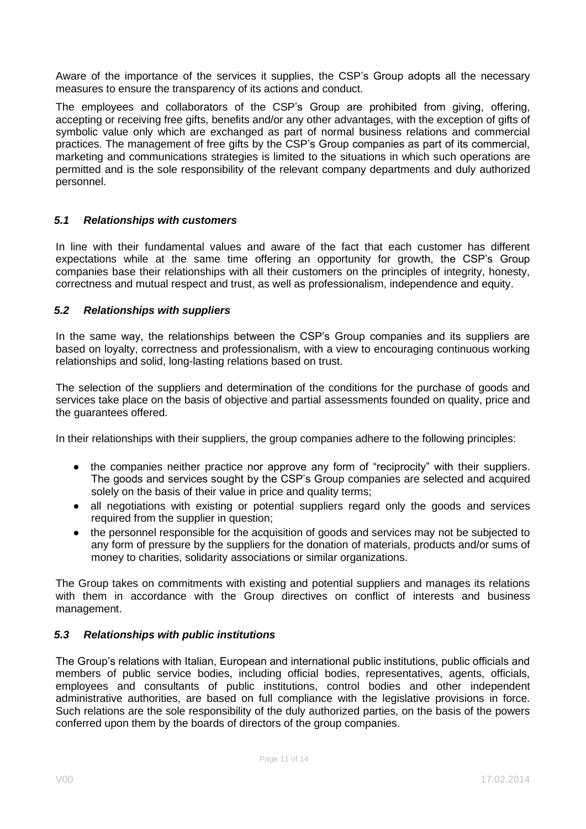Aware of the importance of the services it supplies, the CSP's Group adopts all the necessary measures to ensure the transparency of its actions and conduct.

The employees and collaborators of the CSP's Group are prohibited from giving, offering, accepting or receiving free gifts, benefits and/or any other advantages, with the exception of gifts of symbolic value only which are exchanged as part of normal business relations and commercial practices. The management of free gifts by the CSP's Group companies as part of its commercial, marketing and communications strategies is limited to the situations in which such operations are permitted and is the sole responsibility of the relevant company departments and duly authorized personnel.

#### <span id="page-10-0"></span>*5.1 Relationships with customers*

In line with their fundamental values and aware of the fact that each customer has different expectations while at the same time offering an opportunity for growth, the CSP's Group companies base their relationships with all their customers on the principles of integrity, honesty, correctness and mutual respect and trust, as well as professionalism, independence and equity.

#### <span id="page-10-1"></span>*5.2 Relationships with suppliers*

In the same way, the relationships between the CSP's Group companies and its suppliers are based on loyalty, correctness and professionalism, with a view to encouraging continuous working relationships and solid, long-lasting relations based on trust.

The selection of the suppliers and determination of the conditions for the purchase of goods and services take place on the basis of objective and partial assessments founded on quality, price and the guarantees offered.

In their relationships with their suppliers, the group companies adhere to the following principles:

- the companies neither practice nor approve any form of "reciprocity" with their suppliers. The goods and services sought by the CSP's Group companies are selected and acquired solely on the basis of their value in price and quality terms;
- all negotiations with existing or potential suppliers regard only the goods and services required from the supplier in question;
- the personnel responsible for the acquisition of goods and services may not be subjected to any form of pressure by the suppliers for the donation of materials, products and/or sums of money to charities, solidarity associations or similar organizations.

The Group takes on commitments with existing and potential suppliers and manages its relations with them in accordance with the Group directives on conflict of interests and business management.

#### <span id="page-10-2"></span>*5.3 Relationships with public institutions*

The Group's relations with Italian, European and international public institutions, public officials and members of public service bodies, including official bodies, representatives, agents, officials, employees and consultants of public institutions, control bodies and other independent administrative authorities, are based on full compliance with the legislative provisions in force. Such relations are the sole responsibility of the duly authorized parties, on the basis of the powers conferred upon them by the boards of directors of the group companies.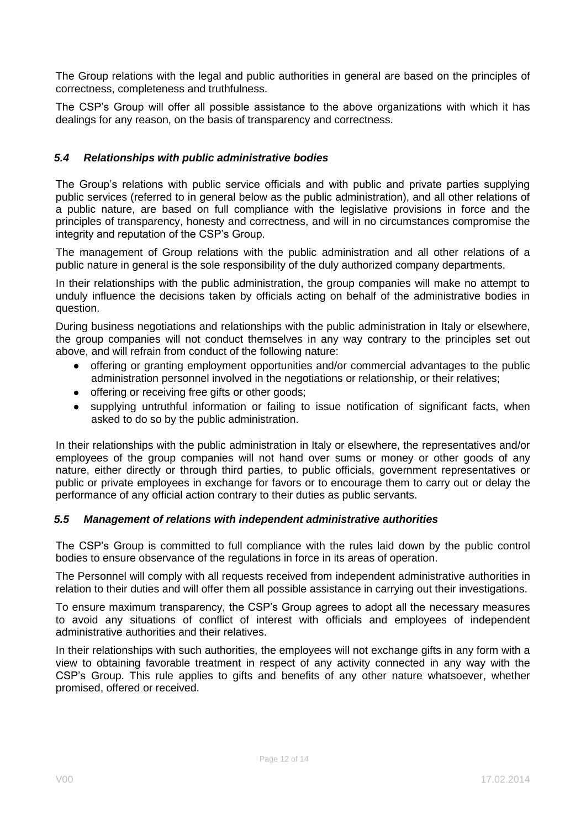The Group relations with the legal and public authorities in general are based on the principles of correctness, completeness and truthfulness.

The CSP's Group will offer all possible assistance to the above organizations with which it has dealings for any reason, on the basis of transparency and correctness.

# <span id="page-11-0"></span>*5.4 Relationships with public administrative bodies*

The Group's relations with public service officials and with public and private parties supplying public services (referred to in general below as the public administration), and all other relations of a public nature, are based on full compliance with the legislative provisions in force and the principles of transparency, honesty and correctness, and will in no circumstances compromise the integrity and reputation of the CSP's Group.

The management of Group relations with the public administration and all other relations of a public nature in general is the sole responsibility of the duly authorized company departments.

In their relationships with the public administration, the group companies will make no attempt to unduly influence the decisions taken by officials acting on behalf of the administrative bodies in question.

During business negotiations and relationships with the public administration in Italy or elsewhere, the group companies will not conduct themselves in any way contrary to the principles set out above, and will refrain from conduct of the following nature:

- offering or granting employment opportunities and/or commercial advantages to the public administration personnel involved in the negotiations or relationship, or their relatives;
- offering or receiving free gifts or other goods;
- supplying untruthful information or failing to issue notification of significant facts, when asked to do so by the public administration.

In their relationships with the public administration in Italy or elsewhere, the representatives and/or employees of the group companies will not hand over sums or money or other goods of any nature, either directly or through third parties, to public officials, government representatives or public or private employees in exchange for favors or to encourage them to carry out or delay the performance of any official action contrary to their duties as public servants.

#### <span id="page-11-1"></span>*5.5 Management of relations with independent administrative authorities*

The CSP's Group is committed to full compliance with the rules laid down by the public control bodies to ensure observance of the regulations in force in its areas of operation.

The Personnel will comply with all requests received from independent administrative authorities in relation to their duties and will offer them all possible assistance in carrying out their investigations.

To ensure maximum transparency, the CSP's Group agrees to adopt all the necessary measures to avoid any situations of conflict of interest with officials and employees of independent administrative authorities and their relatives.

In their relationships with such authorities, the employees will not exchange gifts in any form with a view to obtaining favorable treatment in respect of any activity connected in any way with the CSP's Group. This rule applies to gifts and benefits of any other nature whatsoever, whether promised, offered or received.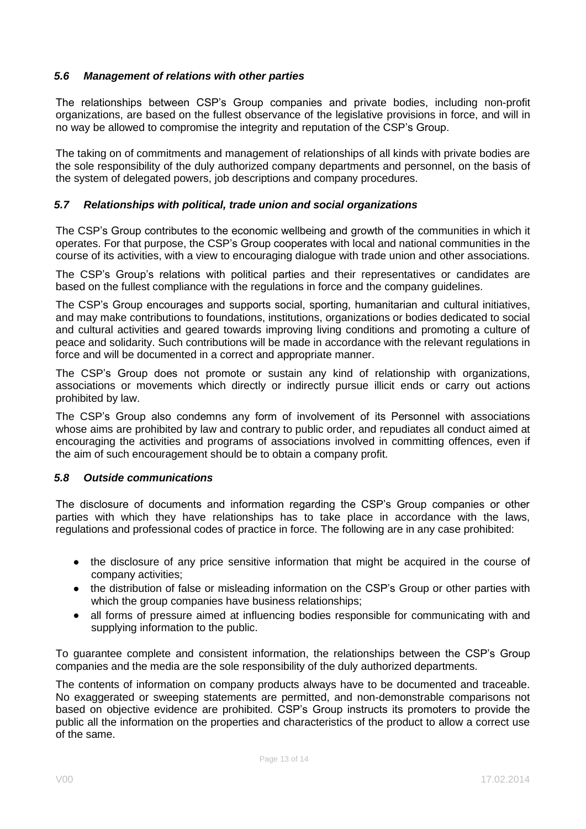#### <span id="page-12-0"></span>*5.6 Management of relations with other parties*

The relationships between CSP's Group companies and private bodies, including non-profit organizations, are based on the fullest observance of the legislative provisions in force, and will in no way be allowed to compromise the integrity and reputation of the CSP's Group.

The taking on of commitments and management of relationships of all kinds with private bodies are the sole responsibility of the duly authorized company departments and personnel, on the basis of the system of delegated powers, job descriptions and company procedures.

#### <span id="page-12-1"></span>*5.7 Relationships with political, trade union and social organizations*

The CSP's Group contributes to the economic wellbeing and growth of the communities in which it operates. For that purpose, the CSP's Group cooperates with local and national communities in the course of its activities, with a view to encouraging dialogue with trade union and other associations.

The CSP's Group's relations with political parties and their representatives or candidates are based on the fullest compliance with the regulations in force and the company guidelines.

The CSP's Group encourages and supports social, sporting, humanitarian and cultural initiatives, and may make contributions to foundations, institutions, organizations or bodies dedicated to social and cultural activities and geared towards improving living conditions and promoting a culture of peace and solidarity. Such contributions will be made in accordance with the relevant regulations in force and will be documented in a correct and appropriate manner.

The CSP's Group does not promote or sustain any kind of relationship with organizations, associations or movements which directly or indirectly pursue illicit ends or carry out actions prohibited by law.

The CSP's Group also condemns any form of involvement of its Personnel with associations whose aims are prohibited by law and contrary to public order, and repudiates all conduct aimed at encouraging the activities and programs of associations involved in committing offences, even if the aim of such encouragement should be to obtain a company profit.

#### <span id="page-12-2"></span>*5.8 Outside communications*

The disclosure of documents and information regarding the CSP's Group companies or other parties with which they have relationships has to take place in accordance with the laws, regulations and professional codes of practice in force. The following are in any case prohibited:

- the disclosure of any price sensitive information that might be acquired in the course of company activities;
- the distribution of false or misleading information on the CSP's Group or other parties with which the group companies have business relationships;
- all forms of pressure aimed at influencing bodies responsible for communicating with and supplying information to the public.

To guarantee complete and consistent information, the relationships between the CSP's Group companies and the media are the sole responsibility of the duly authorized departments.

The contents of information on company products always have to be documented and traceable. No exaggerated or sweeping statements are permitted, and non-demonstrable comparisons not based on objective evidence are prohibited. CSP's Group instructs its promoters to provide the public all the information on the properties and characteristics of the product to allow a correct use of the same.